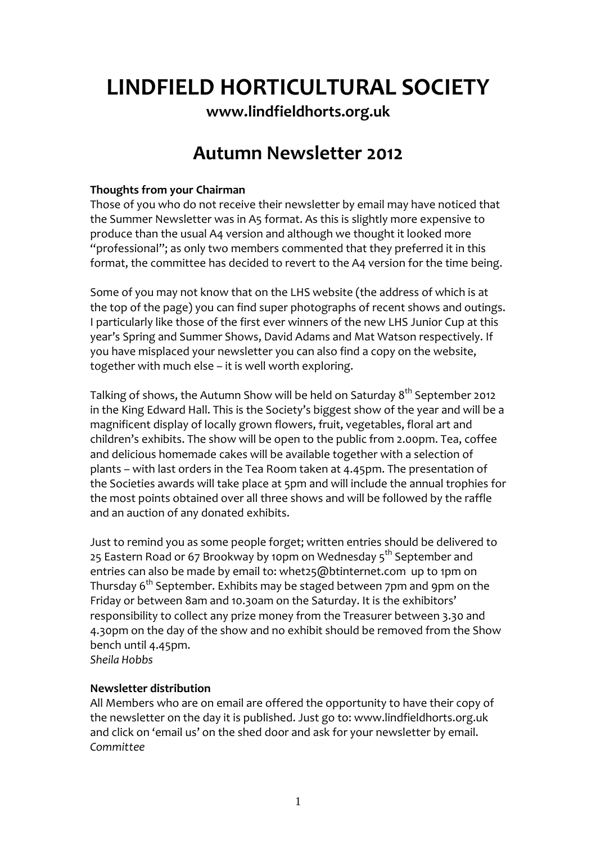# **LINDFIELD HORTICULTURAL SOCIETY**

**[www.lindfieldhorts.org.uk](http://www.lindfieldhorts.org.uk/)**

# **Autumn Newsletter 2012**

# **Thoughts from your Chairman**

Those of you who do not receive their newsletter by email may have noticed that the Summer Newsletter was in A5 format. As this is slightly more expensive to produce than the usual A4 version and although we thought it looked more "professional"; as only two members commented that they preferred it in this format, the committee has decided to revert to the A4 version for the time being.

Some of you may not know that on the LHS website (the address of which is at the top of the page) you can find super photographs of recent shows and outings. I particularly like those of the first ever winners of the new LHS Junior Cup at this year's Spring and Summer Shows, David Adams and Mat Watson respectively. If you have misplaced your newsletter you can also find a copy on the website, together with much else – it is well worth exploring.

Talking of shows, the Autumn Show will be held on Saturday  $8<sup>th</sup>$  September 2012 in the King Edward Hall. This is the Society's biggest show of the year and will be a magnificent display of locally grown flowers, fruit, vegetables, floral art and children's exhibits. The show will be open to the public from 2.00pm. Tea, coffee and delicious homemade cakes will be available together with a selection of plants – with last orders in the Tea Room taken at 4.45pm. The presentation of the Societies awards will take place at 5pm and will include the annual trophies for the most points obtained over all three shows and will be followed by the raffle and an auction of any donated exhibits.

Just to remind you as some people forget; written entries should be delivered to 25 Eastern Road or 67 Brookway by 10pm on Wednesday  $5<sup>th</sup>$  September and entries can also be made by email to: [whet25@btinternet.com](mailto:whet25@btinternet.com) up to 1pm on Thursday 6<sup>th</sup> September. Exhibits may be staged between 7pm and 9pm on the Friday or between 8am and 10.30am on the Saturday. It is the exhibitors' responsibility to collect any prize money from the Treasurer between 3.30 and 4.30pm on the day of the show and no exhibit should be removed from the Show bench until 4.45pm.

*Sheila Hobbs*

## **Newsletter distribution**

All Members who are on email are offered the opportunity to have their copy of the newsletter on the day it is published. Just go to: [www.lindfieldhorts.org.uk](http://www.lindfieldhorts.org.uk/) and click on 'email us' on the shed door and ask for your newsletter by email. *Committee*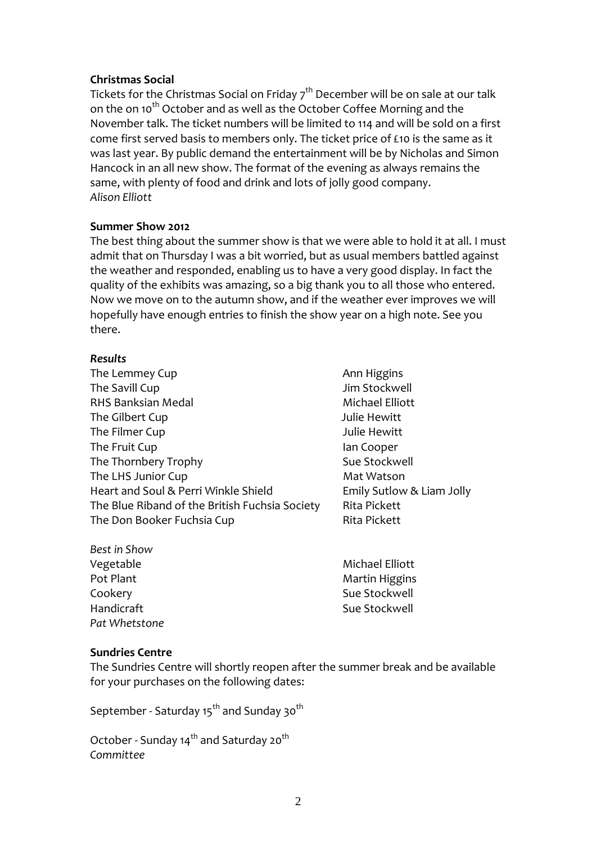#### **Christmas Social**

Tickets for the Christmas Social on Friday  $7<sup>th</sup>$  December will be on sale at our talk on the on 10<sup>th</sup> October and as well as the October Coffee Morning and the November talk. The ticket numbers will be limited to 114 and will be sold on a first come first served basis to members only. The ticket price of £10 is the same as it was last year. By public demand the entertainment will be by Nicholas and Simon Hancock in an all new show. The format of the evening as always remains the same, with plenty of food and drink and lots of jolly good company. *Alison Elliott*

#### **Summer Show 2012**

The best thing about the summer show is that we were able to hold it at all. I must admit that on Thursday I was a bit worried, but as usual members battled against the weather and responded, enabling us to have a very good display. In fact the quality of the exhibits was amazing, so a big thank you to all those who entered. Now we move on to the autumn show, and if the weather ever improves we will hopefully have enough entries to finish the show year on a high note. See you there.

#### *Results*

- The Lemmey Cup **Ann Higgins Ann Higgins** The Savill Cup **The Savill Cup 1 All 2018** The Savill Cup RHS Banksian Medal **Banksian Medal Elliott** The Gilbert Cup **The Gilbert Cup Fig. 2** The Gilbert Cup The Filmer Cup **Cup 19 Set Except Cup 1** Sulie Hewitt The Fruit Cup **Ian Cooper Ian Cooper** The Thornbery Trophy **Sue Stockwell** The LHS Junior Cup **Mat Watson** Heart and Soul & Perri Winkle Shield Emily Sutlow & Liam Jolly The Blue Riband of the British Fuchsia Society Rita Pickett The Don Booker Fuchsia Cup **Bickett** Rita Pickett
	-
- *Best in Show* Vegetable **Michael Elliott** Pot Plant **Martin Higgins Pot Plant Martin Higgins** Cookery Sue Stockwell Handicraft 
Button Communication and the Sue Stockwell *Pat Whetstone*

## **Sundries Centre**

The Sundries Centre will shortly reopen after the summer break and be available for your purchases on the following dates:

September - Saturday 15<sup>th</sup> and Sunday 30<sup>th</sup>

October - Sunday 14<sup>th</sup> and Saturday 20<sup>th</sup> *Committee*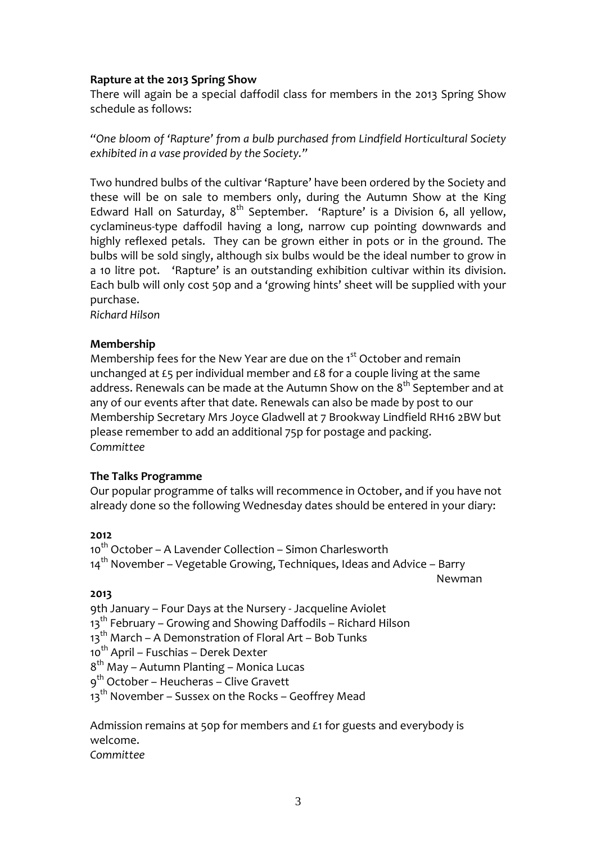#### **Rapture at the 2013 Spring Show**

There will again be a special daffodil class for members in the 2013 Spring Show schedule as follows:

*"One bloom of 'Rapture' from a bulb purchased from Lindfield Horticultural Society exhibited in a vase provided by the Society."*

Two hundred bulbs of the cultivar 'Rapture' have been ordered by the Society and these will be on sale to members only, during the Autumn Show at the King Edward Hall on Saturday,  $8^{th}$  September. 'Rapture' is a Division 6, all yellow, cyclamineus‐type daffodil having a long, narrow cup pointing downwards and highly reflexed petals. They can be grown either in pots or in the ground. The bulbs will be sold singly, although six bulbs would be the ideal number to grow in a 10 litre pot. 'Rapture' is an outstanding exhibition cultivar within its division. Each bulb will only cost 50p and a 'growing hints' sheet will be supplied with your purchase.

*Richard Hilson*

#### **Membership**

Membership fees for the New Year are due on the 1<sup>st</sup> October and remain unchanged at £5 per individual member and £8 for a couple living at the same address. Renewals can be made at the Autumn Show on the 8<sup>th</sup> September and at any of our events after that date. Renewals can also be made by post to our Membership Secretary Mrs Joyce Gladwell at 7 Brookway Lindfield RH16 2BW but please remember to add an additional 75p for postage and packing. *Committee*

#### **The Talks Programme**

Our popular programme of talks will recommence in October, and if you have not already done so the following Wednesday dates should be entered in your diary:

#### **2012**

10<sup>th</sup> October – A Lavender Collection – Simon Charlesworth  $14<sup>th</sup>$  November – Vegetable Growing, Techniques, Ideas and Advice – Barry new the contract of the contract of the contract of the Newman Newman (1986). In the contract of the contract o

#### **2013**

9th January – Four Days at the Nursery ‐ Jacqueline Aviolet

 $13<sup>th</sup>$  February – Growing and Showing Daffodils – Richard Hilson

- 13<sup>th</sup> March A Demonstration of Floral Art Bob Tunks
- 10<sup>th</sup> April Fuschias Derek Dexter

8th May – Autumn Planting – Monica Lucas

- 9<sup>th</sup> October Heucheras Clive Gravett
- $13<sup>th</sup>$  November Sussex on the Rocks Geoffrey Mead

Admission remains at 50p for members and £1 for guests and everybody is welcome.

*Committee*